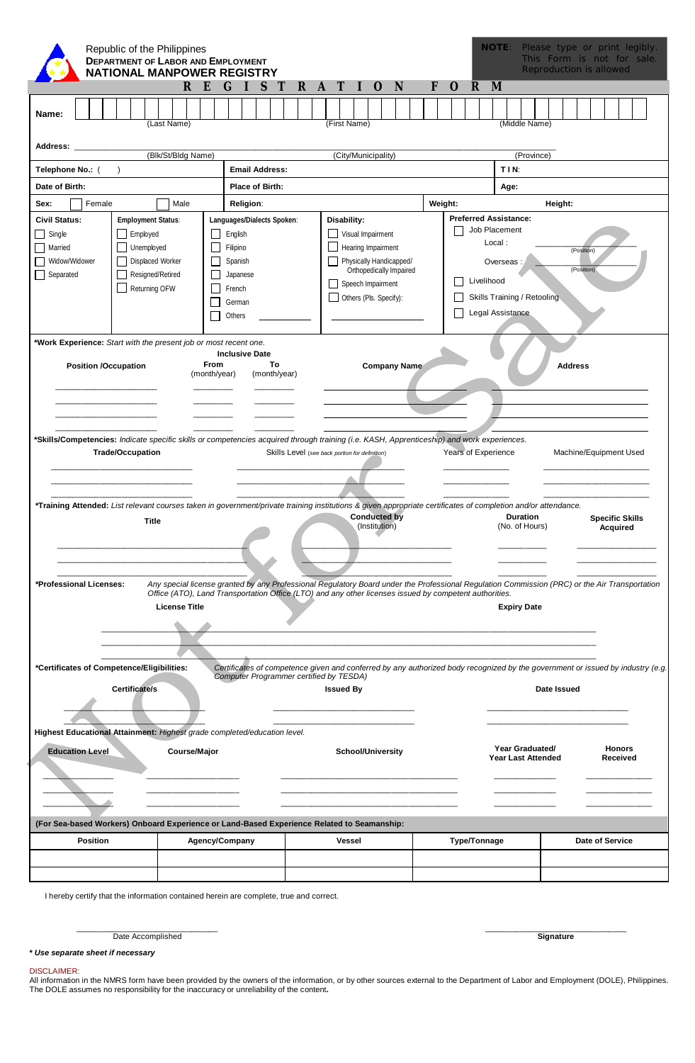|                                                                                                                                                                                                                                                                                                                                        |                                           | Republic of the Philippines |  |                         |  |       |  |                                                                                              |    |                     |                                                 | <b>DEPARTMENT OF LABOR AND EMPLOYMENT</b><br><b>NATIONAL MANPOWER REGISTRY</b>                                                                                                                                                                          |  |  |                                                                                                                                                             |              |   |  |                  |                                                                                                                                                                   |                                                                                        |   |  |         |                     |              |  | <b>NOTE:</b> |      |                                                         |  | Please type or print legibly.<br>This Form is not for sale.<br>Reproduction is allowed |  |                                           |  |  |
|----------------------------------------------------------------------------------------------------------------------------------------------------------------------------------------------------------------------------------------------------------------------------------------------------------------------------------------|-------------------------------------------|-----------------------------|--|-------------------------|--|-------|--|----------------------------------------------------------------------------------------------|----|---------------------|-------------------------------------------------|---------------------------------------------------------------------------------------------------------------------------------------------------------------------------------------------------------------------------------------------------------|--|--|-------------------------------------------------------------------------------------------------------------------------------------------------------------|--------------|---|--|------------------|-------------------------------------------------------------------------------------------------------------------------------------------------------------------|----------------------------------------------------------------------------------------|---|--|---------|---------------------|--------------|--|--------------|------|---------------------------------------------------------|--|----------------------------------------------------------------------------------------|--|-------------------------------------------|--|--|
|                                                                                                                                                                                                                                                                                                                                        |                                           |                             |  |                         |  |       |  |                                                                                              | R. | E                   | G                                               |                                                                                                                                                                                                                                                         |  |  |                                                                                                                                                             | $\mathsf{R}$ | A |  |                  |                                                                                                                                                                   | O                                                                                      | N |  | F       | O                   | R            |  | M            |      |                                                         |  |                                                                                        |  |                                           |  |  |
| Name:                                                                                                                                                                                                                                                                                                                                  |                                           |                             |  |                         |  |       |  | (Last Name)                                                                                  |    |                     |                                                 |                                                                                                                                                                                                                                                         |  |  |                                                                                                                                                             |              |   |  | (First Name)     |                                                                                                                                                                   |                                                                                        |   |  |         |                     |              |  |              |      | (Middle Name)                                           |  |                                                                                        |  |                                           |  |  |
| <b>Address:</b>                                                                                                                                                                                                                                                                                                                        | (Blk/St/Bldg Name)<br>(City/Municipality) |                             |  |                         |  |       |  |                                                                                              |    |                     |                                                 |                                                                                                                                                                                                                                                         |  |  |                                                                                                                                                             |              |   |  |                  |                                                                                                                                                                   |                                                                                        |   |  |         |                     |              |  |              |      |                                                         |  |                                                                                        |  |                                           |  |  |
| Telephone No.: (                                                                                                                                                                                                                                                                                                                       |                                           |                             |  |                         |  |       |  |                                                                                              |    |                     |                                                 |                                                                                                                                                                                                                                                         |  |  |                                                                                                                                                             |              |   |  |                  |                                                                                                                                                                   |                                                                                        |   |  |         |                     |              |  |              | TIN: | (Province)                                              |  |                                                                                        |  |                                           |  |  |
| Date of Birth:                                                                                                                                                                                                                                                                                                                         |                                           |                             |  |                         |  |       |  |                                                                                              |    |                     | <b>Email Address:</b><br><b>Place of Birth:</b> |                                                                                                                                                                                                                                                         |  |  |                                                                                                                                                             |              |   |  |                  | Age:                                                                                                                                                              |                                                                                        |   |  |         |                     |              |  |              |      |                                                         |  |                                                                                        |  |                                           |  |  |
| Sex:                                                                                                                                                                                                                                                                                                                                   |                                           | Female                      |  |                         |  |       |  | Male                                                                                         |    |                     |                                                 | <b>Religion:</b>                                                                                                                                                                                                                                        |  |  |                                                                                                                                                             |              |   |  |                  |                                                                                                                                                                   |                                                                                        |   |  | Weight: |                     |              |  |              |      |                                                         |  | Height:                                                                                |  |                                           |  |  |
| <b>Civil Status:</b><br><b>Employment Status:</b><br>Single<br>Employed<br>$\Box$<br><b>Unemployed</b><br>Married<br>$\blacksquare$<br>Displaced Worker<br>Widow/Widower<br>Resigned/Retired<br>Separated<br>$\overline{\phantom{a}}$<br>Returning OFW                                                                                 |                                           |                             |  |                         |  |       |  | Languages/Dialects Spoken:<br>English<br>Filipino<br>Spanish<br>Japanese<br>French<br>German |    |                     |                                                 |                                                                                                                                                                                                                                                         |  |  | Disability:<br>Visual Impairment<br>Hearing Impairment<br>Physically Handicapped/<br>Orthopedically Impaired<br>Speech Impairment<br>Others (Pls. Specify): |              |   |  |                  | <b>Preferred Assistance:</b><br>Job Placement<br>Local:<br>(Position)<br>Overseas:<br>(Position)<br>Livelihood<br>Skills Training / Retooling<br>Legal Assistance |                                                                                        |   |  |         |                     |              |  |              |      |                                                         |  |                                                                                        |  |                                           |  |  |
| Others<br>*Work Experience: Start with the present job or most recent one.<br><b>Inclusive Date</b><br>From<br>To<br><b>Position /Occupation</b><br><b>Company Name</b><br><b>Address</b><br>(month/year)<br>(month/year)                                                                                                              |                                           |                             |  |                         |  |       |  |                                                                                              |    |                     |                                                 |                                                                                                                                                                                                                                                         |  |  |                                                                                                                                                             |              |   |  |                  |                                                                                                                                                                   |                                                                                        |   |  |         |                     |              |  |              |      |                                                         |  |                                                                                        |  |                                           |  |  |
| *Skills/Competencies: Indicate specific skills or competencies acquired through training (i.e. KASH, Apprenticeship) and work experiences.<br>*Training Attended: List relevant courses taken in government/private training institutions & given appropriate certificates of completion and/or attendance.<br>*Professional Licenses: |                                           |                             |  | <b>Trade/Occupation</b> |  | Title |  | <b>License Title</b>                                                                         |    |                     |                                                 | Any special license granted by any Professional Regulatory Board under the Professional Regulation Commission (PRC) or the Air Transportation<br>Office (ATO), Land Transportation Office (LTO) and any other licenses issued by competent authorities. |  |  |                                                                                                                                                             |              |   |  |                  |                                                                                                                                                                   | Skills Level (see back portion for definition)<br><b>Conducted by</b><br>(Institution) |   |  |         | Years of Experience |              |  |              |      | <b>Duration</b><br>(No. of Hours)<br><b>Expiry Date</b> |  | Machine/Equipment Used                                                                 |  | <b>Specific Skills</b><br><b>Acquired</b> |  |  |
| *Certificates of Competence/Eligibilities:<br>Highest Educational Attainment: Highest grade completed/education level.<br><b>Education Level</b>                                                                                                                                                                                       |                                           |                             |  | Certificate/s           |  |       |  |                                                                                              |    | <b>Course/Major</b> |                                                 | Certificates of competence given and conferred by any authorized body recognized by the government or issued by industry (e.g.<br>Computer Programmer certified by TESDA)                                                                               |  |  |                                                                                                                                                             |              |   |  | <b>Issued By</b> |                                                                                                                                                                   | <b>School/University</b>                                                               |   |  |         |                     |              |  |              |      | Year Graduated/<br>Year Last Attended                   |  | Date Issued                                                                            |  | <b>Honors</b><br>Received                 |  |  |
| (For Sea-based Workers) Onboard Experience or Land-Based Experience Related to Seamanship:                                                                                                                                                                                                                                             |                                           |                             |  |                         |  |       |  |                                                                                              |    |                     |                                                 |                                                                                                                                                                                                                                                         |  |  |                                                                                                                                                             |              |   |  |                  |                                                                                                                                                                   |                                                                                        |   |  |         |                     |              |  |              |      |                                                         |  |                                                                                        |  |                                           |  |  |
|                                                                                                                                                                                                                                                                                                                                        |                                           | <b>Position</b>             |  |                         |  |       |  |                                                                                              |    |                     |                                                 | <b>Agency/Company</b>                                                                                                                                                                                                                                   |  |  |                                                                                                                                                             |              |   |  | Vessel           |                                                                                                                                                                   |                                                                                        |   |  |         |                     | Type/Tonnage |  |              |      |                                                         |  |                                                                                        |  | <b>Date of Service</b>                    |  |  |
| I hereby certify that the information contained herein are complete, true and correct.                                                                                                                                                                                                                                                 |                                           |                             |  |                         |  |       |  |                                                                                              |    |                     |                                                 |                                                                                                                                                                                                                                                         |  |  |                                                                                                                                                             |              |   |  |                  |                                                                                                                                                                   |                                                                                        |   |  |         |                     |              |  |              |      |                                                         |  |                                                                                        |  |                                           |  |  |

Date Accomplished **Signature Signature** 

\_\_\_\_\_\_\_\_\_\_\_\_\_\_\_\_\_\_\_\_\_\_\_\_\_\_\_\_\_\_\_\_ \_\_\_\_\_\_\_\_\_\_\_\_\_\_\_\_\_\_\_\_\_\_\_\_\_\_\_\_\_\_\_\_

#### **\*** *Use separate sheet if necessary*

DISCLAIMER:<br>All information in the NMRS form have been provided by the owners of the information, or by other sources external to the Department of Labor and Employment (DOLE), Philippines.<br>The DOLE assumes no responsibili